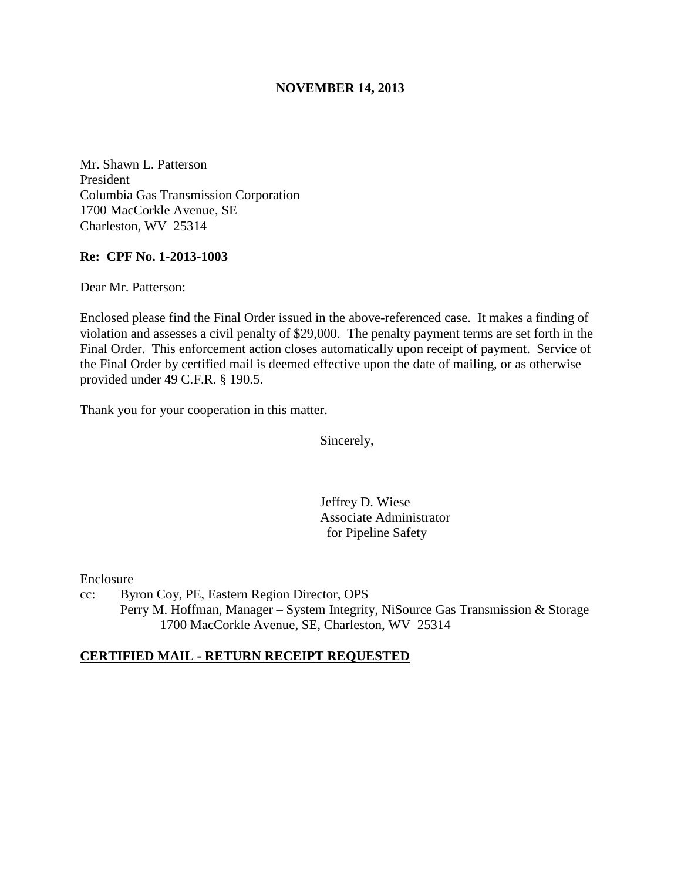## **NOVEMBER 14, 2013**

Mr. Shawn L. Patterson President Columbia Gas Transmission Corporation 1700 MacCorkle Avenue, SE Charleston, WV 25314

## **Re: CPF No. 1-2013-1003**

Dear Mr. Patterson:

Enclosed please find the Final Order issued in the above-referenced case. It makes a finding of violation and assesses a civil penalty of \$29,000. The penalty payment terms are set forth in the Final Order. This enforcement action closes automatically upon receipt of payment. Service of the Final Order by certified mail is deemed effective upon the date of mailing, or as otherwise provided under 49 C.F.R. § 190.5.

Thank you for your cooperation in this matter.

Sincerely,

Jeffrey D. Wiese Associate Administrator for Pipeline Safety

Enclosure

cc: Byron Coy, PE, Eastern Region Director, OPS Perry M. Hoffman, Manager – System Integrity, NiSource Gas Transmission & Storage 1700 MacCorkle Avenue, SE, Charleston, WV 25314

## **CERTIFIED MAIL - RETURN RECEIPT REQUESTED**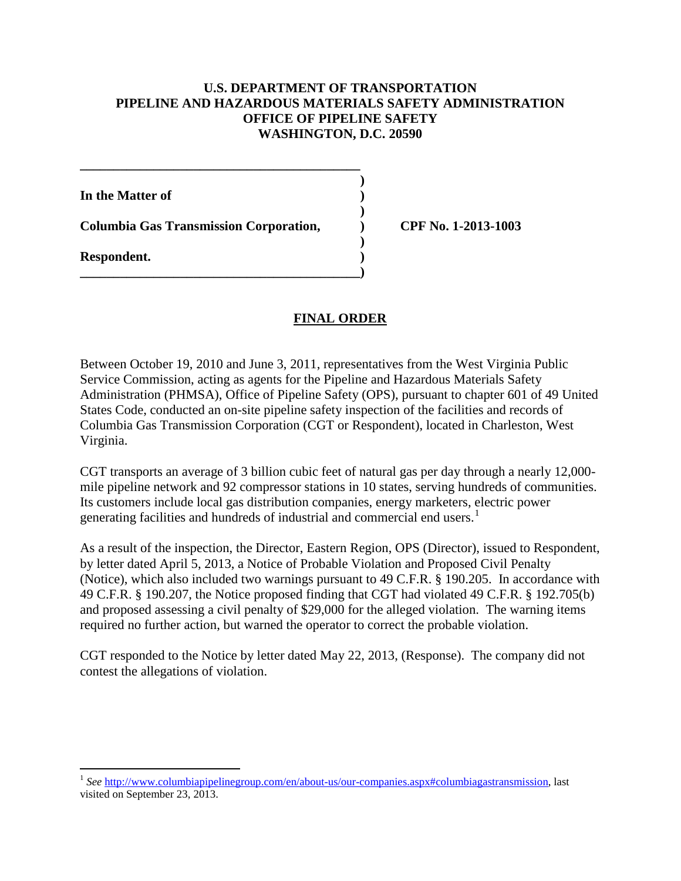## **U.S. DEPARTMENT OF TRANSPORTATION PIPELINE AND HAZARDOUS MATERIALS SAFETY ADMINISTRATION OFFICE OF PIPELINE SAFETY WASHINGTON, D.C. 20590**

**In the Matter of )** 

**Columbia Gas Transmission Corporation, ) CPF No. 1-2013-1003** 

**\_\_\_\_\_\_\_\_\_\_\_\_\_\_\_\_\_\_\_\_\_\_\_\_\_\_\_\_\_\_\_\_\_\_\_\_\_\_\_\_\_\_ )** 

 **)** 

**\_\_\_\_\_\_\_\_\_\_\_\_\_\_\_\_\_\_\_\_\_\_\_\_\_\_\_\_\_\_\_\_\_\_\_\_\_\_\_\_\_\_)** 

 **) Respondent. )** 

 $\overline{a}$ 

# **FINAL ORDER**

Between October 19, 2010 and June 3, 2011, representatives from the West Virginia Public Service Commission, acting as agents for the Pipeline and Hazardous Materials Safety Administration (PHMSA), Office of Pipeline Safety (OPS), pursuant to chapter 601 of 49 United States Code, conducted an on-site pipeline safety inspection of the facilities and records of Columbia Gas Transmission Corporation (CGT or Respondent), located in Charleston, West Virginia.

CGT transports an average of 3 billion cubic feet of natural gas per day through a nearly 12,000 mile pipeline network and 92 compressor stations in 10 states, serving hundreds of communities. Its customers include local gas distribution companies, energy marketers, electric power generating facilities and hundreds of industrial and commercial end users.<sup>1</sup>

As a result of the inspection, the Director, Eastern Region, OPS (Director), issued to Respondent, by letter dated April 5, 2013, a Notice of Probable Violation and Proposed Civil Penalty (Notice), which also included two warnings pursuant to 49 C.F.R. § 190.205. In accordance with 49 C.F.R. § 190.207, the Notice proposed finding that CGT had violated 49 C.F.R. § 192.705(b) and proposed assessing a civil penalty of \$29,000 for the alleged violation. The warning items required no further action, but warned the operator to correct the probable violation.

CGT responded to the Notice by letter dated May 22, 2013, (Response). The company did not contest the allegations of violation.

<sup>&</sup>lt;sup>1</sup> See http://www.columbiapipelinegroup.com/en/about-us/our-companies.aspx#columbiagastransmission, last visited on September 23, 2013.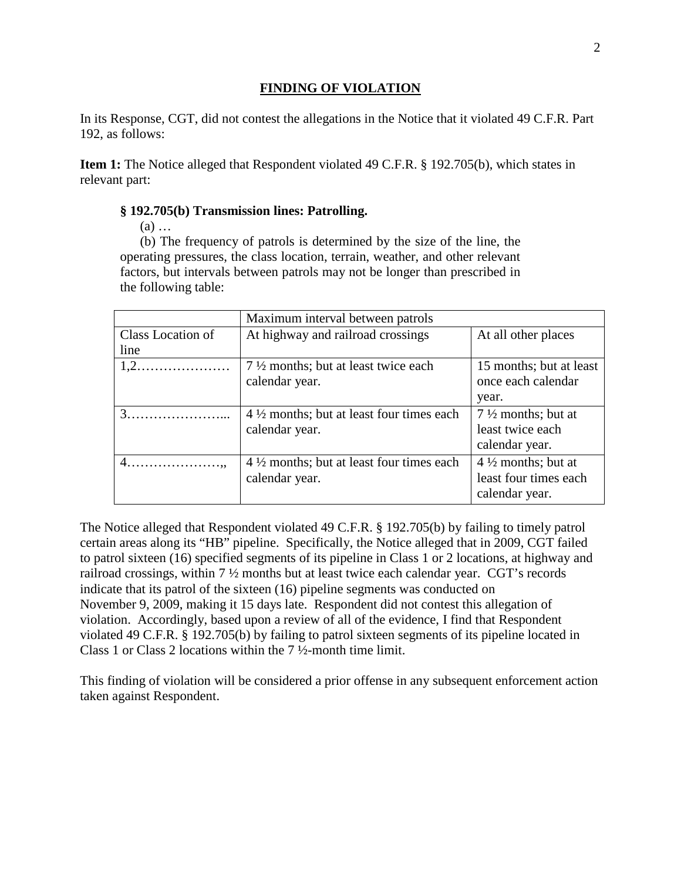## **FINDING OF VIOLATION**

In its Response, CGT, did not contest the allegations in the Notice that it violated 49 C.F.R. Part 192, as follows:

**Item 1:** The Notice alleged that Respondent violated 49 C.F.R. § 192.705(b), which states in relevant part:

## **§ 192.705(b) Transmission lines: Patrolling.**

(a) …

(b) The frequency of patrols is determined by the size of the line, the operating pressures, the class location, terrain, weather, and other relevant factors, but intervals between patrols may not be longer than prescribed in the following table:

|                                          | Maximum interval between patrols                    |                               |
|------------------------------------------|-----------------------------------------------------|-------------------------------|
| Class Location of                        | At highway and railroad crossings                   | At all other places           |
| line                                     |                                                     |                               |
|                                          | 7 1/2 months; but at least twice each               | 15 months; but at least       |
|                                          | calendar year.                                      | once each calendar            |
|                                          |                                                     | year.                         |
|                                          | $4\frac{1}{2}$ months; but at least four times each | $7\frac{1}{2}$ months; but at |
|                                          | calendar year.                                      | least twice each              |
|                                          |                                                     | calendar year.                |
| $4.\dots\dots\dots\dots\dots\dots\dots,$ | $4\frac{1}{2}$ months; but at least four times each | $4\frac{1}{2}$ months; but at |
|                                          | calendar year.                                      | least four times each         |
|                                          |                                                     | calendar year.                |
|                                          |                                                     |                               |

The Notice alleged that Respondent violated 49 C.F.R. § 192.705(b) by failing to timely patrol certain areas along its "HB" pipeline. Specifically, the Notice alleged that in 2009, CGT failed to patrol sixteen (16) specified segments of its pipeline in Class 1 or 2 locations, at highway and railroad crossings, within 7 ½ months but at least twice each calendar year. CGT's records indicate that its patrol of the sixteen (16) pipeline segments was conducted on November 9, 2009, making it 15 days late. Respondent did not contest this allegation of violation. Accordingly, based upon a review of all of the evidence, I find that Respondent violated 49 C.F.R. § 192.705(b) by failing to patrol sixteen segments of its pipeline located in Class 1 or Class 2 locations within the 7 ½-month time limit.

This finding of violation will be considered a prior offense in any subsequent enforcement action taken against Respondent.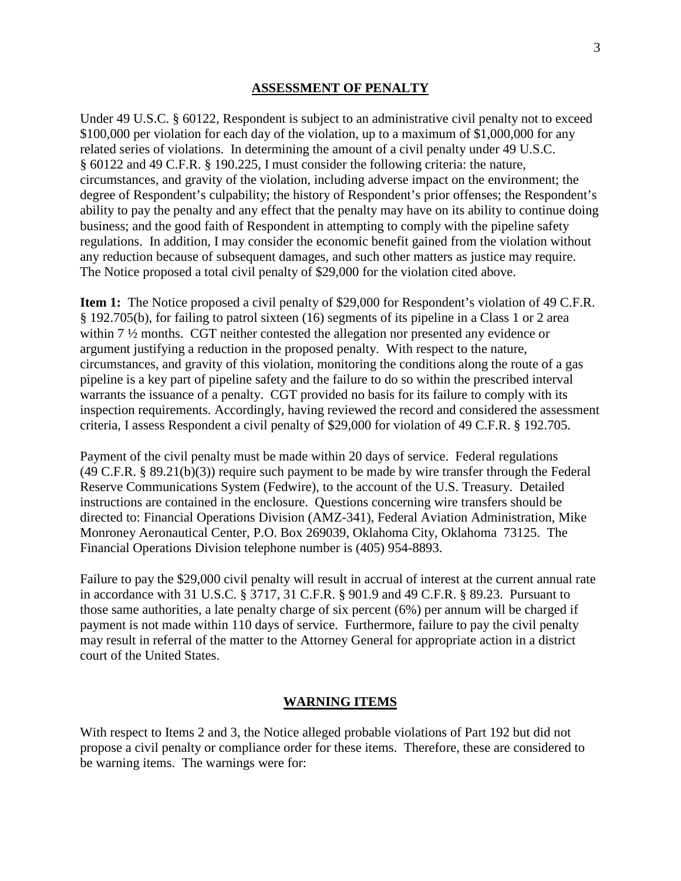### **ASSESSMENT OF PENALTY**

Under 49 U.S.C. § 60122, Respondent is subject to an administrative civil penalty not to exceed \$100,000 per violation for each day of the violation, up to a maximum of \$1,000,000 for any related series of violations. In determining the amount of a civil penalty under 49 U.S.C. § 60122 and 49 C.F.R. § 190.225, I must consider the following criteria: the nature, circumstances, and gravity of the violation, including adverse impact on the environment; the degree of Respondent's culpability; the history of Respondent's prior offenses; the Respondent's ability to pay the penalty and any effect that the penalty may have on its ability to continue doing business; and the good faith of Respondent in attempting to comply with the pipeline safety regulations. In addition, I may consider the economic benefit gained from the violation without any reduction because of subsequent damages, and such other matters as justice may require. The Notice proposed a total civil penalty of \$29,000 for the violation cited above.

**Item 1:** The Notice proposed a civil penalty of \$29,000 for Respondent's violation of 49 C.F.R. § 192.705(b), for failing to patrol sixteen (16) segments of its pipeline in a Class 1 or 2 area within 7 ½ months. CGT neither contested the allegation nor presented any evidence or argument justifying a reduction in the proposed penalty. With respect to the nature, circumstances, and gravity of this violation, monitoring the conditions along the route of a gas pipeline is a key part of pipeline safety and the failure to do so within the prescribed interval warrants the issuance of a penalty. CGT provided no basis for its failure to comply with its inspection requirements. Accordingly, having reviewed the record and considered the assessment criteria, I assess Respondent a civil penalty of \$29,000 for violation of 49 C.F.R. § 192.705.

Payment of the civil penalty must be made within 20 days of service. Federal regulations (49 C.F.R. § 89.21(b)(3)) require such payment to be made by wire transfer through the Federal Reserve Communications System (Fedwire), to the account of the U.S. Treasury. Detailed instructions are contained in the enclosure. Questions concerning wire transfers should be directed to: Financial Operations Division (AMZ-341), Federal Aviation Administration, Mike Monroney Aeronautical Center, P.O. Box 269039, Oklahoma City, Oklahoma 73125. The Financial Operations Division telephone number is (405) 954-8893.

Failure to pay the \$29,000 civil penalty will result in accrual of interest at the current annual rate in accordance with 31 U.S.C. § 3717, 31 C.F.R. § 901.9 and 49 C.F.R. § 89.23. Pursuant to those same authorities, a late penalty charge of six percent (6%) per annum will be charged if payment is not made within 110 days of service. Furthermore, failure to pay the civil penalty may result in referral of the matter to the Attorney General for appropriate action in a district court of the United States.

#### **WARNING ITEMS**

With respect to Items 2 and 3, the Notice alleged probable violations of Part 192 but did not propose a civil penalty or compliance order for these items. Therefore, these are considered to be warning items. The warnings were for: